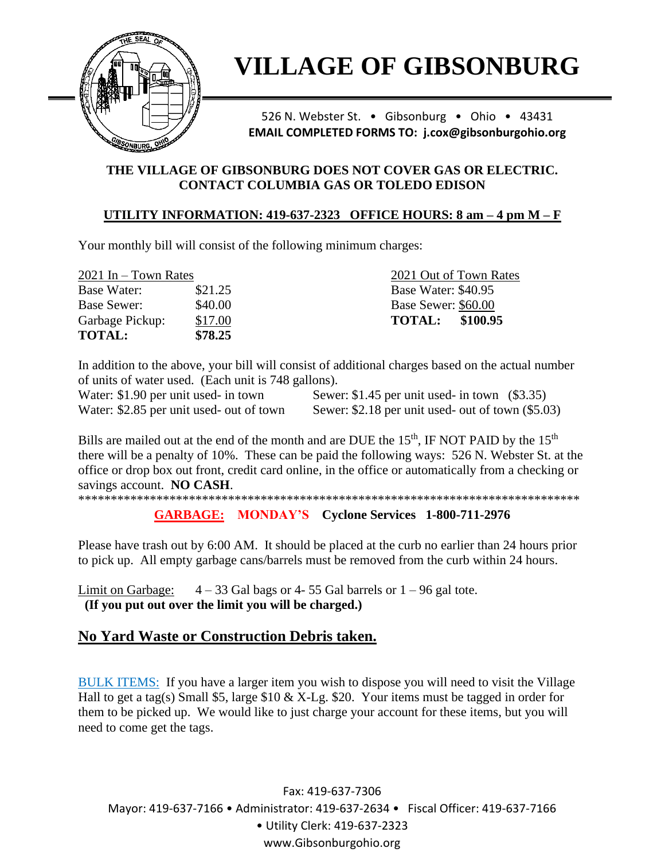

# **VILLAGE OF GIBSONBURG**

526 N. Webster St. . Gibsonburg . Ohio . 43431 **EMAIL COMPLETED FORMS TO: j.cox@gibsonburgohio.org** 

### THE VILLAGE OF GIBSONBURG DOES NOT COVER GAS OR ELECTRIC. **CONTACT COLUMBIA GAS OR TOLEDO EDISON**

### UTILITY INFORMATION: 419-637-2323 OFFICE HOURS:  $8 \text{ am} - 4 \text{ pm } M - F$

Your monthly bill will consist of the following minimum charges:

| $2021$ In – Town Rates |         | 2021 Out of Town Rates    |
|------------------------|---------|---------------------------|
| Base Water:            | \$21.25 | Base Water: \$40.95       |
| <b>Base Sewer:</b>     | \$40.00 | Base Sewer: \$60.00       |
| Garbage Pickup:        | \$17.00 | \$100.95<br><b>TOTAL:</b> |
| <b>TOTAL:</b>          | \$78.25 |                           |

In addition to the above, your bill will consist of additional charges based on the actual number of units of water used. (Each unit is 748 gallons).

Water: \$1.90 per unit used- in town Water: \$2.85 per unit used- out of town

Sewer:  $$1.45$  per unit used- in town  $($3.35)$ Sewer:  $$2.18$  per unit used- out of town  $$5.03$ )

Bills are mailed out at the end of the month and are DUE the 15<sup>th</sup>, IF NOT PAID by the 15<sup>th</sup> there will be a penalty of 10%. These can be paid the following ways: 526 N. Webster St. at the office or drop box out front, credit card online, in the office or automatically from a checking or savings account. NO CASH.

**GARBAGE:** MONDAY'S Cyclone Services 1-800-711-2976

Please have trash out by 6:00 AM. It should be placed at the curb no earlier than 24 hours prior to pick up. All empty garbage cans/barrels must be removed from the curb within 24 hours.

Limit on Garbage:  $4-33$  Gal bags or 4-55 Gal barrels or  $1-96$  gal tote. (If you put out over the limit you will be charged.)

# No Yard Waste or Construction Debris taken.

BULK ITEMS: If you have a larger item you wish to dispose you will need to visit the Village Hall to get a tag(s) Small \$5, large \$10 & X-Lg. \$20. Your items must be tagged in order for them to be picked up. We would like to just charge your account for these items, but you will need to come get the tags.

Fax: 419-637-7306 Mayor: 419-637-7166 • Administrator: 419-637-2634 • Fiscal Officer: 419-637-7166 · Utility Clerk: 419-637-2323 www.Gibsonburgohio.org